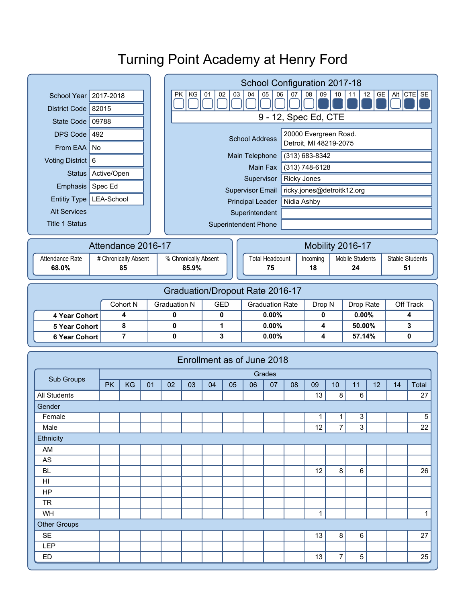|                                         |                     |    |    |                      | School Configuration 2017-18                                                                                |                  |       |                        |        |          |                |                        |                |                        |    |                |  |
|-----------------------------------------|---------------------|----|----|----------------------|-------------------------------------------------------------------------------------------------------------|------------------|-------|------------------------|--------|----------|----------------|------------------------|----------------|------------------------|----|----------------|--|
| 2017-2018<br><b>School Year</b>         |                     |    |    |                      | Alt CTE SE<br>GE<br><b>PK</b><br>KG<br>02<br>05<br>07<br>08<br>09<br>10<br>12<br>01<br>03<br>04<br>06<br>11 |                  |       |                        |        |          |                |                        |                |                        |    |                |  |
| District Code 82015                     |                     |    |    |                      |                                                                                                             |                  |       |                        |        |          |                |                        |                |                        |    |                |  |
| State Code   09788                      |                     |    |    |                      | 9 - 12, Spec Ed, CTE                                                                                        |                  |       |                        |        |          |                |                        |                |                        |    |                |  |
| DPS Code 492                            |                     |    |    |                      | 20000 Evergreen Road.<br><b>School Address</b>                                                              |                  |       |                        |        |          |                |                        |                |                        |    |                |  |
| From EAA   No                           |                     |    |    |                      | Detroit, MI 48219-2075                                                                                      |                  |       |                        |        |          |                |                        |                |                        |    |                |  |
| Voting District   6                     |                     |    |    |                      | (313) 683-8342<br>Main Telephone                                                                            |                  |       |                        |        |          |                |                        |                |                        |    |                |  |
| Active/Open<br><b>Status</b>            |                     |    |    |                      | Main Fax<br>(313) 748-6128                                                                                  |                  |       |                        |        |          |                |                        |                |                        |    |                |  |
| Spec Ed<br>Emphasis                     |                     |    |    |                      | <b>Ricky Jones</b><br>Supervisor                                                                            |                  |       |                        |        |          |                |                        |                |                        |    |                |  |
| Entitiy Type   LEA-School               |                     |    |    |                      | ricky.jones@detroitk12.org<br><b>Supervisor Email</b>                                                       |                  |       |                        |        |          |                |                        |                |                        |    |                |  |
|                                         | <b>Alt Services</b> |    |    |                      | <b>Principal Leader</b><br>Nidia Ashby                                                                      |                  |       |                        |        |          |                |                        |                |                        |    |                |  |
| <b>Title 1 Status</b>                   |                     |    |    |                      | Superintendent<br><b>Superintendent Phone</b>                                                               |                  |       |                        |        |          |                |                        |                |                        |    |                |  |
|                                         |                     |    |    |                      |                                                                                                             |                  |       |                        |        |          |                |                        |                |                        |    |                |  |
|                                         | Attendance 2016-17  |    |    |                      |                                                                                                             | Mobility 2016-17 |       |                        |        |          |                |                        |                |                        |    |                |  |
| Attendance Rate<br># Chronically Absent |                     |    |    | % Chronically Absent |                                                                                                             |                  |       | <b>Total Headcount</b> |        | Incoming |                | <b>Mobile Students</b> |                | <b>Stable Students</b> |    |                |  |
| 68.0%<br>85                             |                     |    |    |                      | 85.9%                                                                                                       |                  | 75    |                        |        | 18       |                | 24                     |                | 51                     |    |                |  |
|                                         |                     |    |    |                      |                                                                                                             |                  |       |                        |        |          |                |                        |                |                        |    |                |  |
| Graduation/Dropout Rate 2016-17         |                     |    |    |                      |                                                                                                             |                  |       |                        |        |          |                |                        |                |                        |    |                |  |
| Cohort N                                |                     |    |    | <b>Graduation N</b>  | <b>GED</b><br><b>Graduation Rate</b>                                                                        |                  |       | Drop N                 |        |          | Drop Rate      |                        | Off Track      |                        |    |                |  |
| 4 Year Cohort                           |                     | 4  |    | 0                    |                                                                                                             | 0                |       | 0.00%                  |        | 0        |                | 0.00%                  |                | 4                      |    |                |  |
| <b>5 Year Cohort</b>                    |                     | 8  |    | 0                    | 1                                                                                                           |                  | 0.00% |                        | 4      |          | 50.00%         |                        | 3              |                        |    |                |  |
| <b>6 Year Cohort</b>                    |                     | 7  |    | 0                    |                                                                                                             | 3                |       | 0.00%                  |        | 4        |                | 57.14%                 |                | $\mathbf 0$            |    |                |  |
|                                         |                     |    |    |                      |                                                                                                             |                  |       |                        |        |          |                |                        |                |                        |    |                |  |
|                                         |                     |    |    |                      | Enrollment as of June 2018                                                                                  |                  |       |                        |        |          |                |                        |                |                        |    |                |  |
| Sub Groups                              |                     |    |    |                      |                                                                                                             |                  |       |                        | Grades |          |                |                        |                |                        |    |                |  |
|                                         | <b>PK</b>           | KG | 01 | 02                   | 03                                                                                                          | 04               | 05    | 06                     | 07     | 08       | 09             | 10                     | 11             | 12                     | 14 | Total          |  |
| All Students                            |                     |    |    |                      |                                                                                                             |                  |       |                        |        |          | 13             | 8                      | 6              |                        |    | 27             |  |
| Gender<br>Female                        |                     |    |    |                      |                                                                                                             |                  |       |                        |        |          | $\overline{1}$ | 1                      | $\overline{3}$ |                        |    | $\overline{5}$ |  |
| Male                                    |                     |    |    |                      |                                                                                                             |                  |       |                        |        |          | 12             | $\overline{7}$         | 3              |                        |    | 22             |  |
| Ethnicity                               |                     |    |    |                      |                                                                                                             |                  |       |                        |        |          |                |                        |                |                        |    |                |  |
| AM                                      |                     |    |    |                      |                                                                                                             |                  |       |                        |        |          |                |                        |                |                        |    |                |  |
| AS                                      |                     |    |    |                      |                                                                                                             |                  |       |                        |        |          |                |                        |                |                        |    |                |  |
| <b>BL</b>                               |                     |    |    |                      |                                                                                                             |                  |       |                        |        |          | 12             | 8                      | $6\phantom{1}$ |                        |    | 26             |  |
| HI                                      |                     |    |    |                      |                                                                                                             |                  |       |                        |        |          |                |                        |                |                        |    |                |  |
| <b>HP</b>                               |                     |    |    |                      |                                                                                                             |                  |       |                        |        |          |                |                        |                |                        |    |                |  |
| <b>TR</b>                               |                     |    |    |                      |                                                                                                             |                  |       |                        |        |          |                |                        |                |                        |    |                |  |
| WH                                      |                     |    |    |                      |                                                                                                             |                  |       |                        |        |          | $\mathbf{1}$   |                        |                |                        |    | $\mathbf{1}$   |  |
| <b>Other Groups</b>                     |                     |    |    |                      |                                                                                                             |                  |       |                        |        |          |                |                        |                |                        |    |                |  |
| <b>SE</b>                               |                     |    |    |                      |                                                                                                             |                  |       |                        |        |          | 13             | 8                      | $\,6\,$        |                        |    | 27             |  |
| <b>LEP</b>                              |                     |    |    |                      |                                                                                                             |                  |       |                        |        |          |                |                        |                |                        |    |                |  |
| ED                                      |                     |    |    |                      |                                                                                                             |                  |       |                        |        |          | 13             | 7                      | $\sqrt{5}$     |                        |    | 25             |  |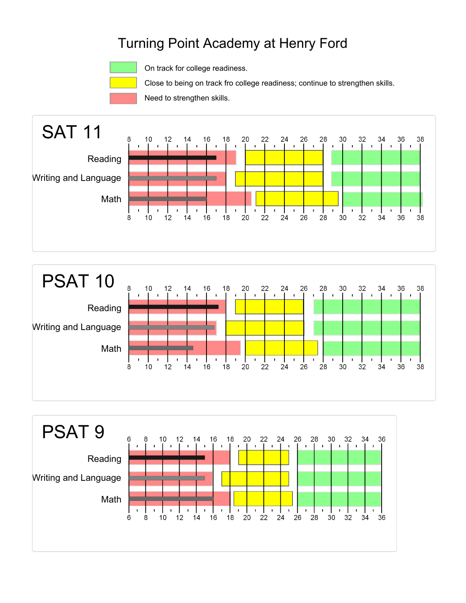

On track for college readiness.

Close to being on track fro college readiness; continue to strengthen skills.

Need to strengthen skills.





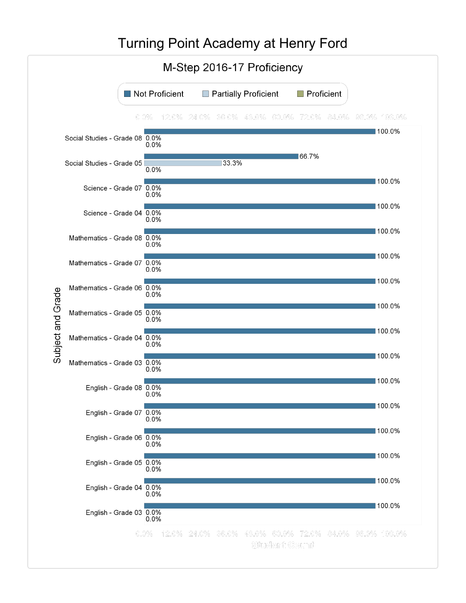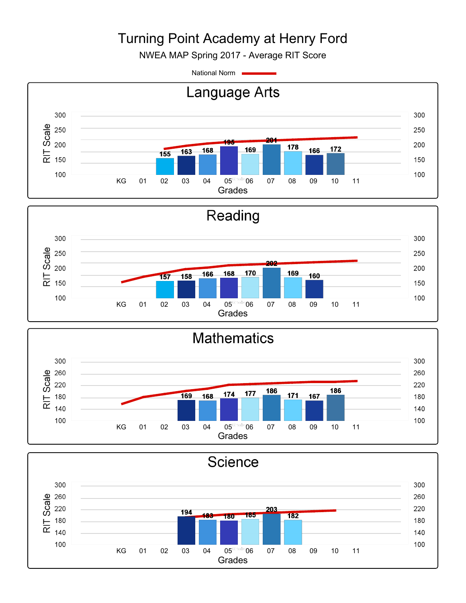NWEA MAP Spring 2017 - Average RIT Score

National Norm